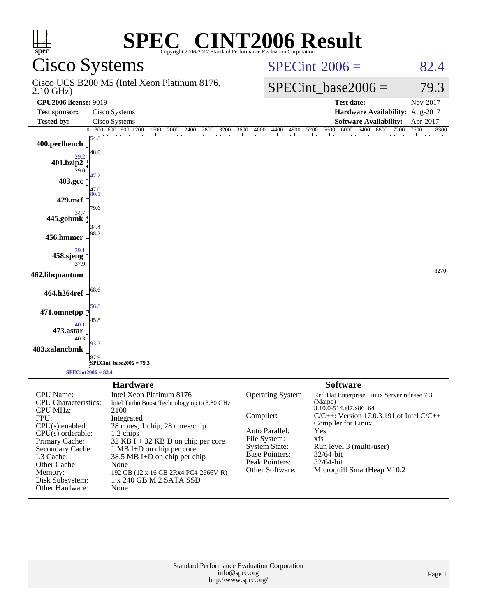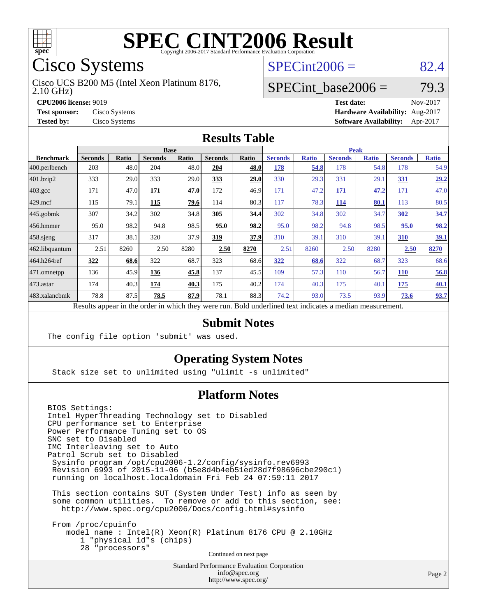

# Cisco Systems

2.10 GHz) Cisco UCS B200 M5 (Intel Xeon Platinum 8176,

## $SPECint2006 = 82.4$  $SPECint2006 = 82.4$

#### SPECint base2006 =  $79.3$

**[CPU2006 license:](http://www.spec.org/auto/cpu2006/Docs/result-fields.html#CPU2006license)** 9019 **[Test date:](http://www.spec.org/auto/cpu2006/Docs/result-fields.html#Testdate)** Nov-2017 **[Test sponsor:](http://www.spec.org/auto/cpu2006/Docs/result-fields.html#Testsponsor)** Cisco Systems **[Hardware Availability:](http://www.spec.org/auto/cpu2006/Docs/result-fields.html#HardwareAvailability)** Aug-2017 **[Tested by:](http://www.spec.org/auto/cpu2006/Docs/result-fields.html#Testedby)** Cisco Systems **[Software Availability:](http://www.spec.org/auto/cpu2006/Docs/result-fields.html#SoftwareAvailability)** Apr-2017

#### **[Results Table](http://www.spec.org/auto/cpu2006/Docs/result-fields.html#ResultsTable)**

|                                                                                                          | <b>Base</b>    |              |                |       |                |       | <b>Peak</b>    |              |                |              |                |              |
|----------------------------------------------------------------------------------------------------------|----------------|--------------|----------------|-------|----------------|-------|----------------|--------------|----------------|--------------|----------------|--------------|
| <b>Benchmark</b>                                                                                         | <b>Seconds</b> | <b>Ratio</b> | <b>Seconds</b> | Ratio | <b>Seconds</b> | Ratio | <b>Seconds</b> | <b>Ratio</b> | <b>Seconds</b> | <b>Ratio</b> | <b>Seconds</b> | <b>Ratio</b> |
| 400.perlbench                                                                                            | 203            | 48.0         | 204            | 48.0  | 204            | 48.0  | 178            | 54.8         | 178            | 54.8         | 178            | 54.9         |
| 401.bzip2                                                                                                | 333            | 29.0         | 333            | 29.0  | 333            | 29.0  | 330            | 29.3         | 331            | 29.1         | <u>331</u>     | 29.2         |
| $403.\mathrm{gcc}$                                                                                       | 171            | 47.0         | 171            | 47.0  | 172            | 46.9  | 171            | 47.2         | <u>171</u>     | 47.2         | 171            | 47.0         |
| $429$ mcf                                                                                                | 115            | 79.1         | 115            | 79.6  | 114            | 80.3  | 117            | 78.3         | 114            | 80.1         | 113            | 80.5         |
| $445$ .gobmk                                                                                             | 307            | 34.2         | 302            | 34.8  | 305            | 34.4  | 302            | 34.8         | 302            | 34.7         | 302            | 34.7         |
| $ 456$ .hmmer                                                                                            | 95.0           | 98.2         | 94.8           | 98.5  | 95.0           | 98.2  | 95.0           | 98.2         | 94.8           | 98.5         | 95.0           | 98.2         |
| $ 458 \text{.}$ sjeng                                                                                    | 317            | 38.1         | 320            | 37.9  | 319            | 37.9  | 310            | 39.1         | 310            | 39.1         | 310            | 39.1         |
| 462.libquantum                                                                                           | 2.51           | 8260         | 2.50           | 8280  | 2.50           | 8270  | 2.51           | 8260         | 2.50           | 8280         | 2.50           | 8270         |
| 464.h264ref                                                                                              | 322            | 68.6         | 322            | 68.7  | 323            | 68.6  | 322            | 68.6         | 322            | 68.7         | 323            | 68.6         |
| 471.omnetpp                                                                                              | 136            | 45.9         | 136            | 45.8  | 137            | 45.5  | 109            | 57.3         | 110            | 56.7         | <b>110</b>     | 56.8         |
| $473$ . astar                                                                                            | 174            | 40.3         | 174            | 40.3  | 175            | 40.2  | 174            | 40.3         | 175            | 40.1         | 175            | 40.1         |
| 483.xalancbmk                                                                                            | 78.8           | 87.5         | 78.5           | 87.9  | 78.1           | 88.3  | 74.2           | 93.0         | 73.5           | 93.9         | 73.6           | 93.7         |
| Results appear in the order in which they were run. Bold underlined text indicates a median measurement. |                |              |                |       |                |       |                |              |                |              |                |              |

**[Submit Notes](http://www.spec.org/auto/cpu2006/Docs/result-fields.html#SubmitNotes)**

The config file option 'submit' was used.

#### **[Operating System Notes](http://www.spec.org/auto/cpu2006/Docs/result-fields.html#OperatingSystemNotes)**

Stack size set to unlimited using "ulimit -s unlimited"

#### **[Platform Notes](http://www.spec.org/auto/cpu2006/Docs/result-fields.html#PlatformNotes)**

BIOS Settings: Intel HyperThreading Technology set to Disabled CPU performance set to Enterprise Power Performance Tuning set to OS SNC set to Disabled IMC Interleaving set to Auto Patrol Scrub set to Disabled Sysinfo program /opt/cpu2006-1.2/config/sysinfo.rev6993 Revision 6993 of 2015-11-06 (b5e8d4b4eb51ed28d7f98696cbe290c1) running on localhost.localdomain Fri Feb 24 07:59:11 2017 This section contains SUT (System Under Test) info as seen by some common utilities. To remove or add to this section, see: <http://www.spec.org/cpu2006/Docs/config.html#sysinfo> From /proc/cpuinfo model name : Intel(R) Xeon(R) Platinum 8176 CPU @ 2.10GHz 1 "physical id"s (chips)

28 "processors"

Continued on next page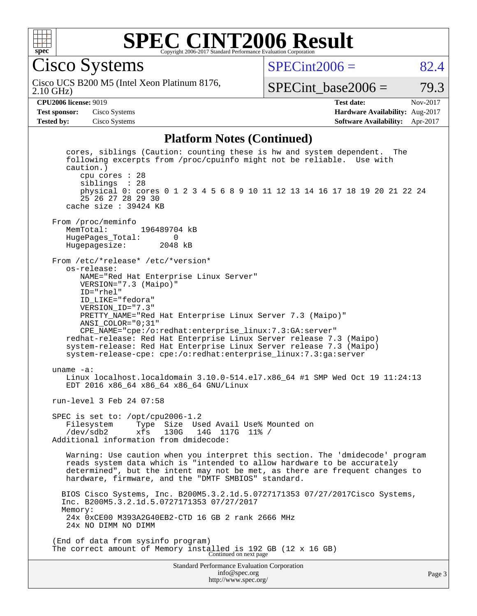

Cisco Systems

 $SPECint2006 = 82.4$  $SPECint2006 = 82.4$ 

2.10 GHz) Cisco UCS B200 M5 (Intel Xeon Platinum 8176,

SPECint base2006 =  $79.3$ 

**[Test sponsor:](http://www.spec.org/auto/cpu2006/Docs/result-fields.html#Testsponsor)** Cisco Systems **[Hardware Availability:](http://www.spec.org/auto/cpu2006/Docs/result-fields.html#HardwareAvailability)** Aug-2017

**[CPU2006 license:](http://www.spec.org/auto/cpu2006/Docs/result-fields.html#CPU2006license)** 9019 **[Test date:](http://www.spec.org/auto/cpu2006/Docs/result-fields.html#Testdate)** Nov-2017 **[Tested by:](http://www.spec.org/auto/cpu2006/Docs/result-fields.html#Testedby)** Cisco Systems **[Software Availability:](http://www.spec.org/auto/cpu2006/Docs/result-fields.html#SoftwareAvailability)** Apr-2017

#### **[Platform Notes \(Continued\)](http://www.spec.org/auto/cpu2006/Docs/result-fields.html#PlatformNotes)**

Standard Performance Evaluation Corporation [info@spec.org](mailto:info@spec.org) <http://www.spec.org/> cores, siblings (Caution: counting these is hw and system dependent. The following excerpts from /proc/cpuinfo might not be reliable. Use with caution.) cpu cores : 28 siblings : 28 physical 0: cores 0 1 2 3 4 5 6 8 9 10 11 12 13 14 16 17 18 19 20 21 22 24 25 26 27 28 29 30 cache size : 39424 KB From /proc/meminfo<br>MemTotal: 196489704 kB HugePages\_Total: 0 Hugepagesize: 2048 kB From /etc/\*release\* /etc/\*version\* os-release: NAME="Red Hat Enterprise Linux Server" VERSION="7.3 (Maipo)" ID="rhel" ID\_LIKE="fedora" VERSION\_ID="7.3" PRETTY\_NAME="Red Hat Enterprise Linux Server 7.3 (Maipo)" ANSI\_COLOR="0;31" CPE\_NAME="cpe:/o:redhat:enterprise\_linux:7.3:GA:server" redhat-release: Red Hat Enterprise Linux Server release 7.3 (Maipo) system-release: Red Hat Enterprise Linux Server release 7.3 (Maipo) system-release-cpe: cpe:/o:redhat:enterprise\_linux:7.3:ga:server uname -a: Linux localhost.localdomain 3.10.0-514.el7.x86\_64 #1 SMP Wed Oct 19 11:24:13 EDT 2016 x86\_64 x86\_64 x86\_64 GNU/Linux run-level 3 Feb 24 07:58 SPEC is set to: /opt/cpu2006-1.2 Filesystem Type Size Used Avail Use% Mounted on<br>/dev/sdb2 xfs 130G 14G 117G 11% / /dev/sdb2 xfs 130G 14G 117G 11% / Additional information from dmidecode: Warning: Use caution when you interpret this section. The 'dmidecode' program reads system data which is "intended to allow hardware to be accurately determined", but the intent may not be met, as there are frequent changes to hardware, firmware, and the "DMTF SMBIOS" standard. BIOS Cisco Systems, Inc. B200M5.3.2.1d.5.0727171353 07/27/2017Cisco Systems, Inc. B200M5.3.2.1d.5.0727171353 07/27/2017 Memory: 24x 0xCE00 M393A2G40EB2-CTD 16 GB 2 rank 2666 MHz 24x NO DIMM NO DIMM (End of data from sysinfo program) The correct amount of Memory installed is 192 GB (12 x 16 GB)<br>Continued on next page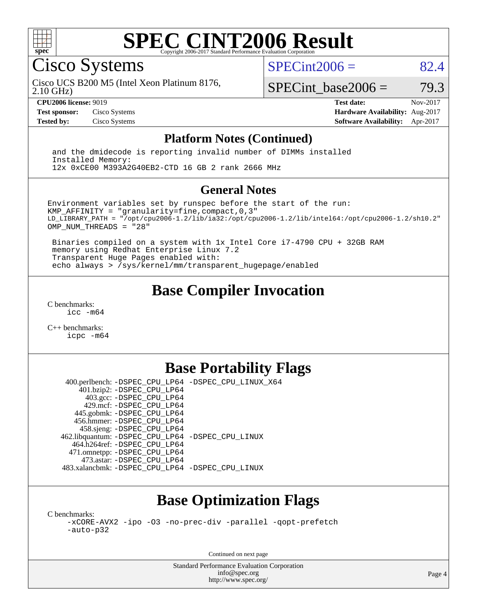

Cisco Systems

 $SPECint2006 = 82.4$  $SPECint2006 = 82.4$ 

2.10 GHz) Cisco UCS B200 M5 (Intel Xeon Platinum 8176,

SPECint base2006 =  $79.3$ 

**[CPU2006 license:](http://www.spec.org/auto/cpu2006/Docs/result-fields.html#CPU2006license)** 9019 **[Test date:](http://www.spec.org/auto/cpu2006/Docs/result-fields.html#Testdate)** Nov-2017 **[Test sponsor:](http://www.spec.org/auto/cpu2006/Docs/result-fields.html#Testsponsor)** Cisco Systems **[Hardware Availability:](http://www.spec.org/auto/cpu2006/Docs/result-fields.html#HardwareAvailability)** Aug-2017 **[Tested by:](http://www.spec.org/auto/cpu2006/Docs/result-fields.html#Testedby)** Cisco Systems **[Software Availability:](http://www.spec.org/auto/cpu2006/Docs/result-fields.html#SoftwareAvailability)** Apr-2017

#### **[Platform Notes \(Continued\)](http://www.spec.org/auto/cpu2006/Docs/result-fields.html#PlatformNotes)**

 and the dmidecode is reporting invalid number of DIMMs installed Installed Memory: 12x 0xCE00 M393A2G40EB2-CTD 16 GB 2 rank 2666 MHz

#### **[General Notes](http://www.spec.org/auto/cpu2006/Docs/result-fields.html#GeneralNotes)**

Environment variables set by runspec before the start of the run: KMP AFFINITY = "granularity=fine, compact,  $0,3$ " LD\_LIBRARY\_PATH = "/opt/cpu2006-1.2/lib/ia32:/opt/cpu2006-1.2/lib/intel64:/opt/cpu2006-1.2/sh10.2" OMP\_NUM\_THREADS = "28"

 Binaries compiled on a system with 1x Intel Core i7-4790 CPU + 32GB RAM memory using Redhat Enterprise Linux 7.2 Transparent Huge Pages enabled with: echo always > /sys/kernel/mm/transparent\_hugepage/enabled

## **[Base Compiler Invocation](http://www.spec.org/auto/cpu2006/Docs/result-fields.html#BaseCompilerInvocation)**

[C benchmarks](http://www.spec.org/auto/cpu2006/Docs/result-fields.html#Cbenchmarks): [icc -m64](http://www.spec.org/cpu2006/results/res2017q4/cpu2006-20171128-50917.flags.html#user_CCbase_intel_icc_64bit_bda6cc9af1fdbb0edc3795bac97ada53)

[C++ benchmarks:](http://www.spec.org/auto/cpu2006/Docs/result-fields.html#CXXbenchmarks) [icpc -m64](http://www.spec.org/cpu2006/results/res2017q4/cpu2006-20171128-50917.flags.html#user_CXXbase_intel_icpc_64bit_fc66a5337ce925472a5c54ad6a0de310)

## **[Base Portability Flags](http://www.spec.org/auto/cpu2006/Docs/result-fields.html#BasePortabilityFlags)**

 400.perlbench: [-DSPEC\\_CPU\\_LP64](http://www.spec.org/cpu2006/results/res2017q4/cpu2006-20171128-50917.flags.html#b400.perlbench_basePORTABILITY_DSPEC_CPU_LP64) [-DSPEC\\_CPU\\_LINUX\\_X64](http://www.spec.org/cpu2006/results/res2017q4/cpu2006-20171128-50917.flags.html#b400.perlbench_baseCPORTABILITY_DSPEC_CPU_LINUX_X64) 401.bzip2: [-DSPEC\\_CPU\\_LP64](http://www.spec.org/cpu2006/results/res2017q4/cpu2006-20171128-50917.flags.html#suite_basePORTABILITY401_bzip2_DSPEC_CPU_LP64) 403.gcc: [-DSPEC\\_CPU\\_LP64](http://www.spec.org/cpu2006/results/res2017q4/cpu2006-20171128-50917.flags.html#suite_basePORTABILITY403_gcc_DSPEC_CPU_LP64) 429.mcf: [-DSPEC\\_CPU\\_LP64](http://www.spec.org/cpu2006/results/res2017q4/cpu2006-20171128-50917.flags.html#suite_basePORTABILITY429_mcf_DSPEC_CPU_LP64) 445.gobmk: [-DSPEC\\_CPU\\_LP64](http://www.spec.org/cpu2006/results/res2017q4/cpu2006-20171128-50917.flags.html#suite_basePORTABILITY445_gobmk_DSPEC_CPU_LP64) 456.hmmer: [-DSPEC\\_CPU\\_LP64](http://www.spec.org/cpu2006/results/res2017q4/cpu2006-20171128-50917.flags.html#suite_basePORTABILITY456_hmmer_DSPEC_CPU_LP64) 458.sjeng: [-DSPEC\\_CPU\\_LP64](http://www.spec.org/cpu2006/results/res2017q4/cpu2006-20171128-50917.flags.html#suite_basePORTABILITY458_sjeng_DSPEC_CPU_LP64) 462.libquantum: [-DSPEC\\_CPU\\_LP64](http://www.spec.org/cpu2006/results/res2017q4/cpu2006-20171128-50917.flags.html#suite_basePORTABILITY462_libquantum_DSPEC_CPU_LP64) [-DSPEC\\_CPU\\_LINUX](http://www.spec.org/cpu2006/results/res2017q4/cpu2006-20171128-50917.flags.html#b462.libquantum_baseCPORTABILITY_DSPEC_CPU_LINUX) 464.h264ref: [-DSPEC\\_CPU\\_LP64](http://www.spec.org/cpu2006/results/res2017q4/cpu2006-20171128-50917.flags.html#suite_basePORTABILITY464_h264ref_DSPEC_CPU_LP64) 471.omnetpp: [-DSPEC\\_CPU\\_LP64](http://www.spec.org/cpu2006/results/res2017q4/cpu2006-20171128-50917.flags.html#suite_basePORTABILITY471_omnetpp_DSPEC_CPU_LP64) 473.astar: [-DSPEC\\_CPU\\_LP64](http://www.spec.org/cpu2006/results/res2017q4/cpu2006-20171128-50917.flags.html#suite_basePORTABILITY473_astar_DSPEC_CPU_LP64) 483.xalancbmk: [-DSPEC\\_CPU\\_LP64](http://www.spec.org/cpu2006/results/res2017q4/cpu2006-20171128-50917.flags.html#suite_basePORTABILITY483_xalancbmk_DSPEC_CPU_LP64) [-DSPEC\\_CPU\\_LINUX](http://www.spec.org/cpu2006/results/res2017q4/cpu2006-20171128-50917.flags.html#b483.xalancbmk_baseCXXPORTABILITY_DSPEC_CPU_LINUX)

## **[Base Optimization Flags](http://www.spec.org/auto/cpu2006/Docs/result-fields.html#BaseOptimizationFlags)**

[C benchmarks](http://www.spec.org/auto/cpu2006/Docs/result-fields.html#Cbenchmarks):

[-xCORE-AVX2](http://www.spec.org/cpu2006/results/res2017q4/cpu2006-20171128-50917.flags.html#user_CCbase_f-xCORE-AVX2) [-ipo](http://www.spec.org/cpu2006/results/res2017q4/cpu2006-20171128-50917.flags.html#user_CCbase_f-ipo) [-O3](http://www.spec.org/cpu2006/results/res2017q4/cpu2006-20171128-50917.flags.html#user_CCbase_f-O3) [-no-prec-div](http://www.spec.org/cpu2006/results/res2017q4/cpu2006-20171128-50917.flags.html#user_CCbase_f-no-prec-div) [-parallel](http://www.spec.org/cpu2006/results/res2017q4/cpu2006-20171128-50917.flags.html#user_CCbase_f-parallel) [-qopt-prefetch](http://www.spec.org/cpu2006/results/res2017q4/cpu2006-20171128-50917.flags.html#user_CCbase_f-qopt-prefetch) [-auto-p32](http://www.spec.org/cpu2006/results/res2017q4/cpu2006-20171128-50917.flags.html#user_CCbase_f-auto-p32)

Continued on next page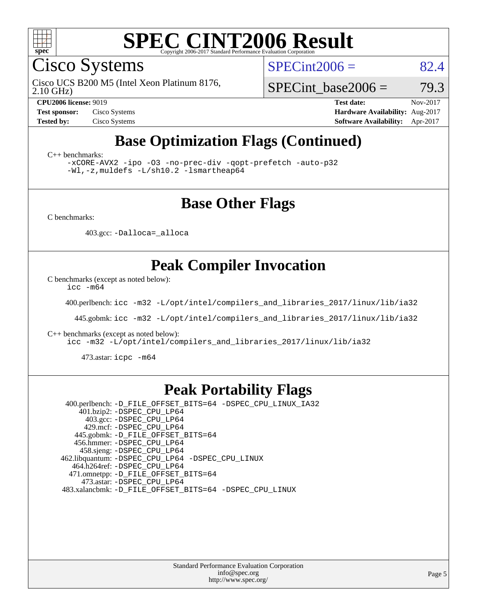

Cisco Systems

 $SPECint2006 = 82.4$  $SPECint2006 = 82.4$ 

2.10 GHz) Cisco UCS B200 M5 (Intel Xeon Platinum 8176,

SPECint base2006 =  $79.3$ 

**[CPU2006 license:](http://www.spec.org/auto/cpu2006/Docs/result-fields.html#CPU2006license)** 9019 **[Test date:](http://www.spec.org/auto/cpu2006/Docs/result-fields.html#Testdate)** Nov-2017 **[Test sponsor:](http://www.spec.org/auto/cpu2006/Docs/result-fields.html#Testsponsor)** Cisco Systems **[Hardware Availability:](http://www.spec.org/auto/cpu2006/Docs/result-fields.html#HardwareAvailability)** Aug-2017 **[Tested by:](http://www.spec.org/auto/cpu2006/Docs/result-fields.html#Testedby)** Cisco Systems **[Software Availability:](http://www.spec.org/auto/cpu2006/Docs/result-fields.html#SoftwareAvailability)** Apr-2017

## **[Base Optimization Flags \(Continued\)](http://www.spec.org/auto/cpu2006/Docs/result-fields.html#BaseOptimizationFlags)**

[C++ benchmarks:](http://www.spec.org/auto/cpu2006/Docs/result-fields.html#CXXbenchmarks)

[-xCORE-AVX2](http://www.spec.org/cpu2006/results/res2017q4/cpu2006-20171128-50917.flags.html#user_CXXbase_f-xCORE-AVX2) [-ipo](http://www.spec.org/cpu2006/results/res2017q4/cpu2006-20171128-50917.flags.html#user_CXXbase_f-ipo) [-O3](http://www.spec.org/cpu2006/results/res2017q4/cpu2006-20171128-50917.flags.html#user_CXXbase_f-O3) [-no-prec-div](http://www.spec.org/cpu2006/results/res2017q4/cpu2006-20171128-50917.flags.html#user_CXXbase_f-no-prec-div) [-qopt-prefetch](http://www.spec.org/cpu2006/results/res2017q4/cpu2006-20171128-50917.flags.html#user_CXXbase_f-qopt-prefetch) [-auto-p32](http://www.spec.org/cpu2006/results/res2017q4/cpu2006-20171128-50917.flags.html#user_CXXbase_f-auto-p32) [-Wl,-z,muldefs](http://www.spec.org/cpu2006/results/res2017q4/cpu2006-20171128-50917.flags.html#user_CXXbase_link_force_multiple1_74079c344b956b9658436fd1b6dd3a8a) [-L/sh10.2 -lsmartheap64](http://www.spec.org/cpu2006/results/res2017q4/cpu2006-20171128-50917.flags.html#user_CXXbase_SmartHeap64_63911d860fc08c15fa1d5bf319b9d8d5)

#### **[Base Other Flags](http://www.spec.org/auto/cpu2006/Docs/result-fields.html#BaseOtherFlags)**

[C benchmarks](http://www.spec.org/auto/cpu2006/Docs/result-fields.html#Cbenchmarks):

403.gcc: [-Dalloca=\\_alloca](http://www.spec.org/cpu2006/results/res2017q4/cpu2006-20171128-50917.flags.html#b403.gcc_baseEXTRA_CFLAGS_Dalloca_be3056838c12de2578596ca5467af7f3)

## **[Peak Compiler Invocation](http://www.spec.org/auto/cpu2006/Docs/result-fields.html#PeakCompilerInvocation)**

[C benchmarks \(except as noted below\)](http://www.spec.org/auto/cpu2006/Docs/result-fields.html#Cbenchmarksexceptasnotedbelow):

[icc -m64](http://www.spec.org/cpu2006/results/res2017q4/cpu2006-20171128-50917.flags.html#user_CCpeak_intel_icc_64bit_bda6cc9af1fdbb0edc3795bac97ada53)

400.perlbench: [icc -m32 -L/opt/intel/compilers\\_and\\_libraries\\_2017/linux/lib/ia32](http://www.spec.org/cpu2006/results/res2017q4/cpu2006-20171128-50917.flags.html#user_peakCCLD400_perlbench_intel_icc_c29f3ff5a7ed067b11e4ec10a03f03ae)

445.gobmk: [icc -m32 -L/opt/intel/compilers\\_and\\_libraries\\_2017/linux/lib/ia32](http://www.spec.org/cpu2006/results/res2017q4/cpu2006-20171128-50917.flags.html#user_peakCCLD445_gobmk_intel_icc_c29f3ff5a7ed067b11e4ec10a03f03ae)

[C++ benchmarks \(except as noted below\):](http://www.spec.org/auto/cpu2006/Docs/result-fields.html#CXXbenchmarksexceptasnotedbelow)

[icc -m32 -L/opt/intel/compilers\\_and\\_libraries\\_2017/linux/lib/ia32](http://www.spec.org/cpu2006/results/res2017q4/cpu2006-20171128-50917.flags.html#user_CXXpeak_intel_icc_c29f3ff5a7ed067b11e4ec10a03f03ae)

473.astar: [icpc -m64](http://www.spec.org/cpu2006/results/res2017q4/cpu2006-20171128-50917.flags.html#user_peakCXXLD473_astar_intel_icpc_64bit_fc66a5337ce925472a5c54ad6a0de310)

#### **[Peak Portability Flags](http://www.spec.org/auto/cpu2006/Docs/result-fields.html#PeakPortabilityFlags)**

 400.perlbench: [-D\\_FILE\\_OFFSET\\_BITS=64](http://www.spec.org/cpu2006/results/res2017q4/cpu2006-20171128-50917.flags.html#user_peakPORTABILITY400_perlbench_file_offset_bits_64_438cf9856305ebd76870a2c6dc2689ab) [-DSPEC\\_CPU\\_LINUX\\_IA32](http://www.spec.org/cpu2006/results/res2017q4/cpu2006-20171128-50917.flags.html#b400.perlbench_peakCPORTABILITY_DSPEC_CPU_LINUX_IA32) 401.bzip2: [-DSPEC\\_CPU\\_LP64](http://www.spec.org/cpu2006/results/res2017q4/cpu2006-20171128-50917.flags.html#suite_peakPORTABILITY401_bzip2_DSPEC_CPU_LP64) 403.gcc: [-DSPEC\\_CPU\\_LP64](http://www.spec.org/cpu2006/results/res2017q4/cpu2006-20171128-50917.flags.html#suite_peakPORTABILITY403_gcc_DSPEC_CPU_LP64) 429.mcf: [-DSPEC\\_CPU\\_LP64](http://www.spec.org/cpu2006/results/res2017q4/cpu2006-20171128-50917.flags.html#suite_peakPORTABILITY429_mcf_DSPEC_CPU_LP64) 445.gobmk: [-D\\_FILE\\_OFFSET\\_BITS=64](http://www.spec.org/cpu2006/results/res2017q4/cpu2006-20171128-50917.flags.html#user_peakPORTABILITY445_gobmk_file_offset_bits_64_438cf9856305ebd76870a2c6dc2689ab) 456.hmmer: [-DSPEC\\_CPU\\_LP64](http://www.spec.org/cpu2006/results/res2017q4/cpu2006-20171128-50917.flags.html#suite_peakPORTABILITY456_hmmer_DSPEC_CPU_LP64) 458.sjeng: [-DSPEC\\_CPU\\_LP64](http://www.spec.org/cpu2006/results/res2017q4/cpu2006-20171128-50917.flags.html#suite_peakPORTABILITY458_sjeng_DSPEC_CPU_LP64) 462.libquantum: [-DSPEC\\_CPU\\_LP64](http://www.spec.org/cpu2006/results/res2017q4/cpu2006-20171128-50917.flags.html#suite_peakPORTABILITY462_libquantum_DSPEC_CPU_LP64) [-DSPEC\\_CPU\\_LINUX](http://www.spec.org/cpu2006/results/res2017q4/cpu2006-20171128-50917.flags.html#b462.libquantum_peakCPORTABILITY_DSPEC_CPU_LINUX) 464.h264ref: [-DSPEC\\_CPU\\_LP64](http://www.spec.org/cpu2006/results/res2017q4/cpu2006-20171128-50917.flags.html#suite_peakPORTABILITY464_h264ref_DSPEC_CPU_LP64) 471.omnetpp: [-D\\_FILE\\_OFFSET\\_BITS=64](http://www.spec.org/cpu2006/results/res2017q4/cpu2006-20171128-50917.flags.html#user_peakPORTABILITY471_omnetpp_file_offset_bits_64_438cf9856305ebd76870a2c6dc2689ab) 473.astar: [-DSPEC\\_CPU\\_LP64](http://www.spec.org/cpu2006/results/res2017q4/cpu2006-20171128-50917.flags.html#suite_peakPORTABILITY473_astar_DSPEC_CPU_LP64) 483.xalancbmk: [-D\\_FILE\\_OFFSET\\_BITS=64](http://www.spec.org/cpu2006/results/res2017q4/cpu2006-20171128-50917.flags.html#user_peakPORTABILITY483_xalancbmk_file_offset_bits_64_438cf9856305ebd76870a2c6dc2689ab) [-DSPEC\\_CPU\\_LINUX](http://www.spec.org/cpu2006/results/res2017q4/cpu2006-20171128-50917.flags.html#b483.xalancbmk_peakCXXPORTABILITY_DSPEC_CPU_LINUX)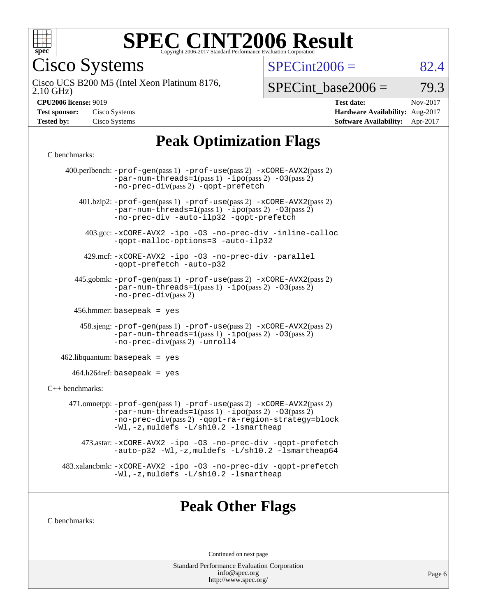

Cisco Systems

 $SPECTnt2006 = 82.4$ 

2.10 GHz) Cisco UCS B200 M5 (Intel Xeon Platinum 8176,

 $SPECTnt\_base2006 = 79.3$ 

| <b>Test sponsor:</b> | Cisco Systems |
|----------------------|---------------|
| <b>Tested by:</b>    | Cisco Systems |

**[CPU2006 license:](http://www.spec.org/auto/cpu2006/Docs/result-fields.html#CPU2006license)** 9019 **[Test date:](http://www.spec.org/auto/cpu2006/Docs/result-fields.html#Testdate)** Nov-2017 **[Hardware Availability:](http://www.spec.org/auto/cpu2006/Docs/result-fields.html#HardwareAvailability)** Aug-2017 **[Software Availability:](http://www.spec.org/auto/cpu2006/Docs/result-fields.html#SoftwareAvailability)** Apr-2017

## **[Peak Optimization Flags](http://www.spec.org/auto/cpu2006/Docs/result-fields.html#PeakOptimizationFlags)**

#### [C benchmarks](http://www.spec.org/auto/cpu2006/Docs/result-fields.html#Cbenchmarks):

|                   | 400.perlbench: -prof-gen(pass 1) -prof-use(pass 2) -xCORE-AVX2(pass 2)<br>$-par-num-threads=1(pass 1) -ipo(pass 2) -03(pass 2)$<br>-no-prec-div(pass 2) -qopt-prefetch                                                        |
|-------------------|-------------------------------------------------------------------------------------------------------------------------------------------------------------------------------------------------------------------------------|
|                   | 401.bzip2: -prof-gen(pass 1) -prof-use(pass 2) -xCORE-AVX2(pass 2)<br>$-par-num-threads=1(pass 1) -ipo(pass 2) -03(pass 2)$<br>-no-prec-div -auto-ilp32 -qopt-prefetch                                                        |
|                   | 403.gcc: -xCORE-AVX2 -ipo -03 -no-prec-div -inline-calloc<br>-qopt-malloc-options=3 -auto-ilp32                                                                                                                               |
|                   | 429.mcf: -xCORE-AVX2 -ipo -03 -no-prec-div -parallel<br>-qopt-prefetch -auto-p32                                                                                                                                              |
|                   | 445.gobmk: -prof-gen(pass 1) -prof-use(pass 2) -xCORE-AVX2(pass 2)<br>$-par-num-threads=1(pass 1) -ipo(pass 2) -03(pass 2)$<br>$-no\text{-}prec\text{-div}(pass 2)$                                                           |
|                   | $456.$ hmmer: basepeak = yes                                                                                                                                                                                                  |
|                   | $458 \text{.}$ sjeng: $-\text{prof-gen(pass 1)} - \text{prof-use(pass 2)} - \text{xCORE-AVX2(pass 2)}$<br>-par-num-threads=1(pass 1) -ipo(pass 2) -03(pass 2)<br>-no-prec-div(pass 2) -unroll4                                |
|                   | $462$ .libquantum: basepeak = yes                                                                                                                                                                                             |
|                   | $464.h264$ ref: basepeak = yes                                                                                                                                                                                                |
| $C++$ benchmarks: |                                                                                                                                                                                                                               |
|                   | 471.omnetpp: -prof-gen(pass 1) -prof-use(pass 2) -xCORE-AVX2(pass 2)<br>$-par-num-threads=1(pass 1) -ipo(pass 2) -03(pass 2)$<br>-no-prec-div(pass 2) -qopt-ra-region-strategy=block<br>-Wl,-z, muldefs -L/sh10.2 -lsmartheap |
|                   | 473.astar: -xCORE-AVX2 -ipo -03 -no-prec-div -qopt-prefetch<br>-auto-p32 -Wl,-z, muldefs -L/sh10.2 -lsmartheap64                                                                                                              |
|                   | 483.xalancbmk: -xCORE-AVX2 -ipo -03 -no-prec-div -qopt-prefetch<br>-Wl,-z, muldefs -L/sh10.2 -lsmartheap                                                                                                                      |
|                   |                                                                                                                                                                                                                               |

## **[Peak Other Flags](http://www.spec.org/auto/cpu2006/Docs/result-fields.html#PeakOtherFlags)**

[C benchmarks](http://www.spec.org/auto/cpu2006/Docs/result-fields.html#Cbenchmarks):

Continued on next page